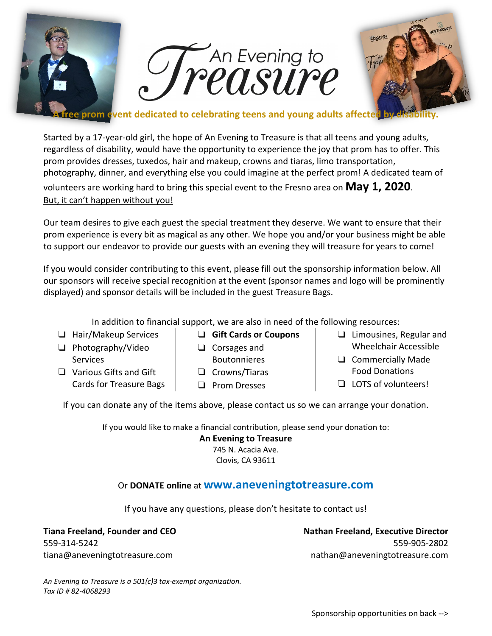

Started by a 17-year-old girl, the hope of An Evening to Treasure is that all teens and young adults, regardless of disability, would have the opportunity to experience the joy that prom has to offer. This prom provides dresses, tuxedos, hair and makeup, crowns and tiaras, limo transportation, photography, dinner, and everything else you could imagine at the perfect prom! A dedicated team of volunteers are working hard to bring this special event to the Fresno area on **May 1, 2020**. But, it can't happen without you!

Our team desires to give each guest the special treatment they deserve. We want to ensure that their prom experience is every bit as magical as any other. We hope you and/or your business might be able to support our endeavor to provide our guests with an evening they will treasure for years to come!

If you would consider contributing to this event, please fill out the sponsorship information below. All our sponsors will receive special recognition at the event (sponsor names and logo will be prominently displayed) and sponsor details will be included in the guest Treasure Bags.

In addition to financial support, we are also in need of the following resources:

- ❏ Hair/Makeup Services
- ❏ Photography/Video **Services**
- ❏ Various Gifts and Gift Cards for Treasure Bags
- ❏ **Gift Cards or Coupons**
- ❏ Corsages and Boutonnieres
- ❏ Crowns/Tiaras
- ❏ Prom Dresses
- ❏ Limousines, Regular and Wheelchair Accessible
- ❏ Commercially Made Food Donations
- ❏ LOTS of volunteers!

If you can donate any of the items above, please contact us so we can arrange your donation.

If you would like to make a financial contribution, please send your donation to:

**An Evening to Treasure** 745 N. Acacia Ave. Clovis, CA 93611

# Or **DONATE online** at **www.aneveningtotreasure.com**

If you have any questions, please don't hesitate to contact us!

**Tiana Freeland, Founder and CEO** 559-314-5242 tiana@aneveningtotreasure.com

**Nathan Freeland, Executive Director** 559-905-2802 nathan@aneveningtotreasure.com

*An Evening to Treasure is a 501(c)3 tax-exempt organization. Tax ID # 82-4068293*